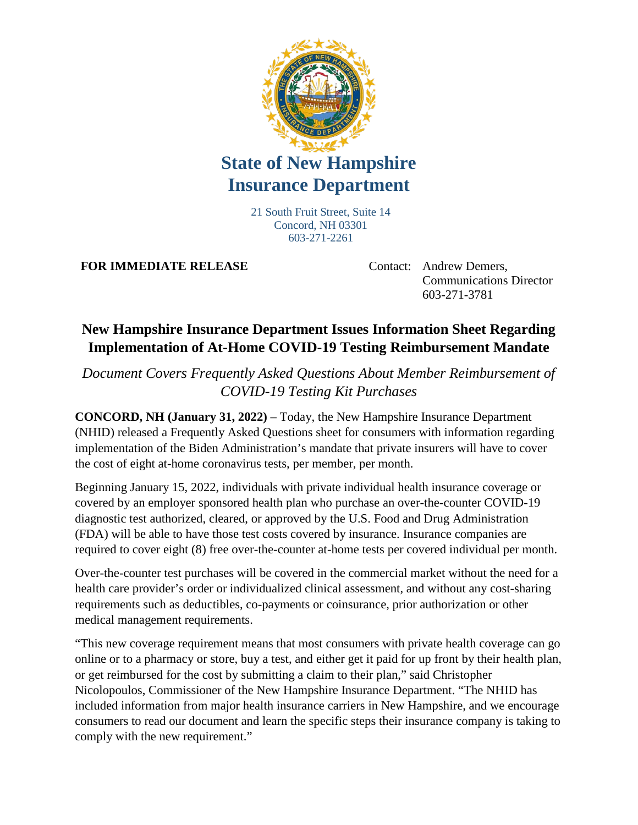

## **State of New Hampshire Insurance Department**

21 South Fruit Street, Suite 14 Concord, NH 03301 603-271-2261

**FOR IMMEDIATE RELEASE** Contact: Andrew Demers,

Communications Director 603-271-3781

## **New Hampshire Insurance Department Issues Information Sheet Regarding Implementation of At-Home COVID-19 Testing Reimbursement Mandate**

*Document Covers Frequently Asked Questions About Member Reimbursement of COVID-19 Testing Kit Purchases*

**CONCORD, NH (January 31, 2022)** – Today, the New Hampshire Insurance Department (NHID) released a Frequently Asked Questions sheet for consumers with information regarding implementation of the Biden Administration's mandate that private insurers will have to cover the cost of eight at-home coronavirus tests, per member, per month.

Beginning January 15, 2022, individuals with private individual health insurance coverage or covered by an employer sponsored health plan who purchase an over-the-counter COVID-19 diagnostic test authorized, cleared, or approved by the U.S. Food and Drug Administration (FDA) will be able to have those test costs covered by insurance. Insurance companies are required to cover eight (8) free over-the-counter at-home tests per covered individual per month.

Over-the-counter test purchases will be covered in the commercial market without the need for a health care provider's order or individualized clinical assessment, and without any cost-sharing requirements such as deductibles, co-payments or coinsurance, prior authorization or other medical management requirements.

"This new coverage requirement means that most consumers with private health coverage can go online or to a pharmacy or store, buy a test, and either get it paid for up front by their health plan, or get reimbursed for the cost by submitting a claim to their plan," said Christopher Nicolopoulos, Commissioner of the New Hampshire Insurance Department. "The NHID has included information from major health insurance carriers in New Hampshire, and we encourage consumers to read our document and learn the specific steps their insurance company is taking to comply with the new requirement."